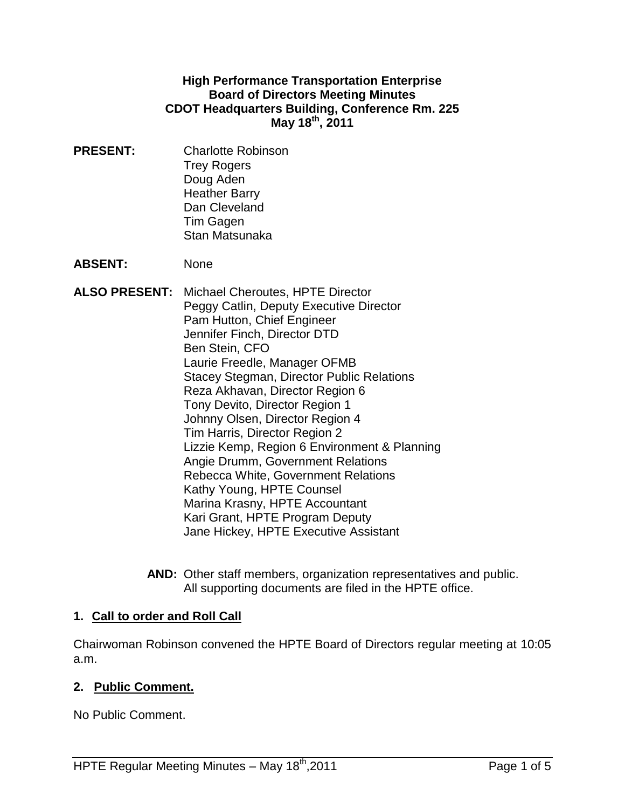#### **High Performance Transportation Enterprise Board of Directors Meeting Minutes CDOT Headquarters Building, Conference Rm. 225 May 18th , 2011**

**PRESENT:** Charlotte Robinson Trey Rogers Doug Aden Heather Barry Dan Cleveland Tim Gagen Stan Matsunaka

**ABSENT:** None

- **ALSO PRESENT:** Michael Cheroutes, HPTE Director Peggy Catlin, Deputy Executive Director Pam Hutton, Chief Engineer Jennifer Finch, Director DTD Ben Stein, CFO Laurie Freedle, Manager OFMB Stacey Stegman, Director Public Relations Reza Akhavan, Director Region 6 Tony Devito, Director Region 1 Johnny Olsen, Director Region 4 Tim Harris, Director Region 2 Lizzie Kemp, Region 6 Environment & Planning Angie Drumm, Government Relations Rebecca White, Government Relations Kathy Young, HPTE Counsel Marina Krasny, HPTE Accountant Kari Grant, HPTE Program Deputy Jane Hickey, HPTE Executive Assistant
	- **AND:** Other staff members, organization representatives and public. All supporting documents are filed in the HPTE office.

## **1. Call to order and Roll Call**

Chairwoman Robinson convened the HPTE Board of Directors regular meeting at 10:05 a.m.

## **2. Public Comment.**

No Public Comment.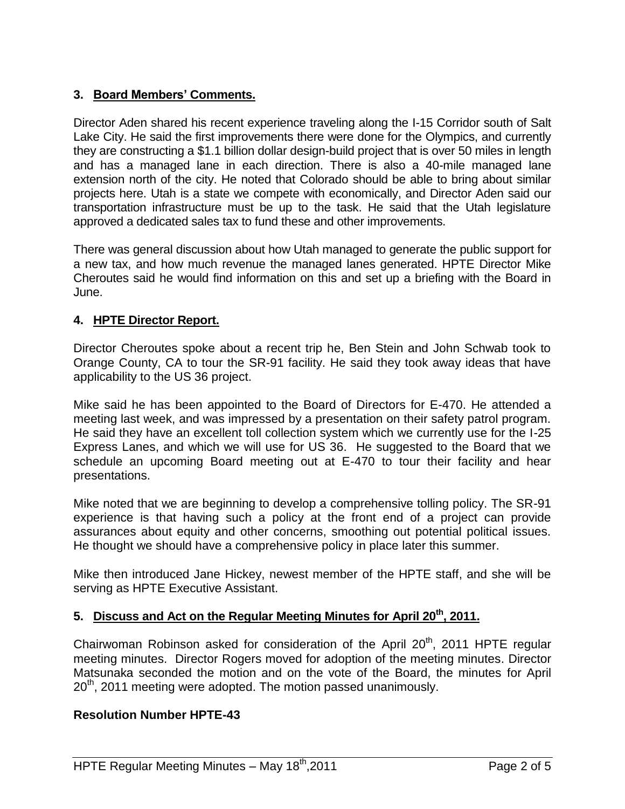# **3. Board Members' Comments.**

Director Aden shared his recent experience traveling along the I-15 Corridor south of Salt Lake City. He said the first improvements there were done for the Olympics, and currently they are constructing a \$1.1 billion dollar design-build project that is over 50 miles in length and has a managed lane in each direction. There is also a 40-mile managed lane extension north of the city. He noted that Colorado should be able to bring about similar projects here. Utah is a state we compete with economically, and Director Aden said our transportation infrastructure must be up to the task. He said that the Utah legislature approved a dedicated sales tax to fund these and other improvements.

There was general discussion about how Utah managed to generate the public support for a new tax, and how much revenue the managed lanes generated. HPTE Director Mike Cheroutes said he would find information on this and set up a briefing with the Board in June.

## **4. HPTE Director Report.**

Director Cheroutes spoke about a recent trip he, Ben Stein and John Schwab took to Orange County, CA to tour the SR-91 facility. He said they took away ideas that have applicability to the US 36 project.

Mike said he has been appointed to the Board of Directors for E-470. He attended a meeting last week, and was impressed by a presentation on their safety patrol program. He said they have an excellent toll collection system which we currently use for the I-25 Express Lanes, and which we will use for US 36. He suggested to the Board that we schedule an upcoming Board meeting out at E-470 to tour their facility and hear presentations.

Mike noted that we are beginning to develop a comprehensive tolling policy. The SR-91 experience is that having such a policy at the front end of a project can provide assurances about equity and other concerns, smoothing out potential political issues. He thought we should have a comprehensive policy in place later this summer.

Mike then introduced Jane Hickey, newest member of the HPTE staff, and she will be serving as HPTE Executive Assistant.

## **5. Discuss and Act on the Regular Meeting Minutes for April 20th , 2011.**

Chairwoman Robinson asked for consideration of the April  $20<sup>th</sup>$ , 2011 HPTE regular meeting minutes. Director Rogers moved for adoption of the meeting minutes. Director Matsunaka seconded the motion and on the vote of the Board, the minutes for April 20<sup>th</sup>, 2011 meeting were adopted. The motion passed unanimously.

#### **Resolution Number HPTE-43**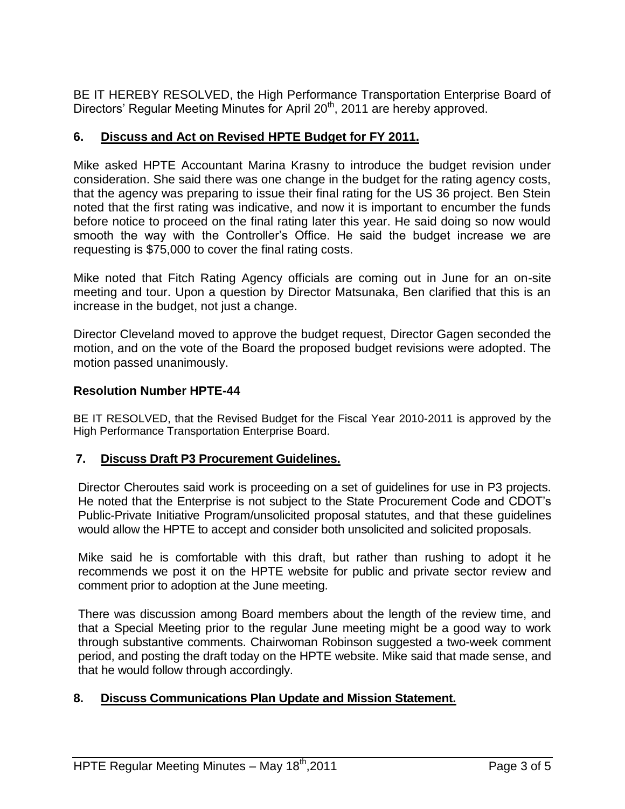BE IT HEREBY RESOLVED, the High Performance Transportation Enterprise Board of Directors' Regular Meeting Minutes for April 20<sup>th</sup>, 2011 are hereby approved.

## **6. Discuss and Act on Revised HPTE Budget for FY 2011.**

Mike asked HPTE Accountant Marina Krasny to introduce the budget revision under consideration. She said there was one change in the budget for the rating agency costs, that the agency was preparing to issue their final rating for the US 36 project. Ben Stein noted that the first rating was indicative, and now it is important to encumber the funds before notice to proceed on the final rating later this year. He said doing so now would smooth the way with the Controller's Office. He said the budget increase we are requesting is \$75,000 to cover the final rating costs.

Mike noted that Fitch Rating Agency officials are coming out in June for an on-site meeting and tour. Upon a question by Director Matsunaka, Ben clarified that this is an increase in the budget, not just a change.

Director Cleveland moved to approve the budget request, Director Gagen seconded the motion, and on the vote of the Board the proposed budget revisions were adopted. The motion passed unanimously.

# **Resolution Number HPTE-44**

BE IT RESOLVED, that the Revised Budget for the Fiscal Year 2010-2011 is approved by the High Performance Transportation Enterprise Board.

## **7. Discuss Draft P3 Procurement Guidelines.**

Director Cheroutes said work is proceeding on a set of guidelines for use in P3 projects. He noted that the Enterprise is not subject to the State Procurement Code and CDOT's Public-Private Initiative Program/unsolicited proposal statutes, and that these guidelines would allow the HPTE to accept and consider both unsolicited and solicited proposals.

Mike said he is comfortable with this draft, but rather than rushing to adopt it he recommends we post it on the HPTE website for public and private sector review and comment prior to adoption at the June meeting.

There was discussion among Board members about the length of the review time, and that a Special Meeting prior to the regular June meeting might be a good way to work through substantive comments. Chairwoman Robinson suggested a two-week comment period, and posting the draft today on the HPTE website. Mike said that made sense, and that he would follow through accordingly.

## **8. Discuss Communications Plan Update and Mission Statement.**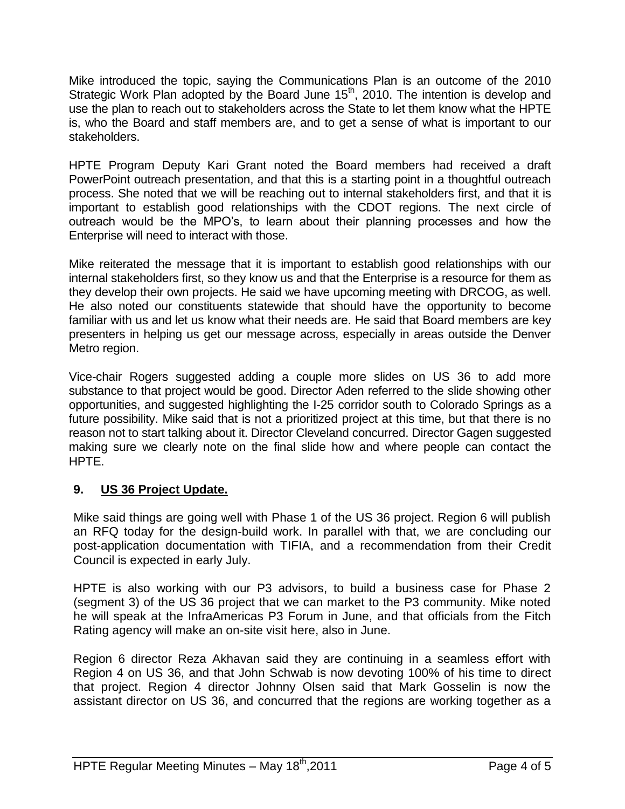Mike introduced the topic, saying the Communications Plan is an outcome of the 2010 Strategic Work Plan adopted by the Board June 15<sup>th</sup>, 2010. The intention is develop and use the plan to reach out to stakeholders across the State to let them know what the HPTE is, who the Board and staff members are, and to get a sense of what is important to our stakeholders.

HPTE Program Deputy Kari Grant noted the Board members had received a draft PowerPoint outreach presentation, and that this is a starting point in a thoughtful outreach process. She noted that we will be reaching out to internal stakeholders first, and that it is important to establish good relationships with the CDOT regions. The next circle of outreach would be the MPO's, to learn about their planning processes and how the Enterprise will need to interact with those.

Mike reiterated the message that it is important to establish good relationships with our internal stakeholders first, so they know us and that the Enterprise is a resource for them as they develop their own projects. He said we have upcoming meeting with DRCOG, as well. He also noted our constituents statewide that should have the opportunity to become familiar with us and let us know what their needs are. He said that Board members are key presenters in helping us get our message across, especially in areas outside the Denver Metro region.

Vice-chair Rogers suggested adding a couple more slides on US 36 to add more substance to that project would be good. Director Aden referred to the slide showing other opportunities, and suggested highlighting the I-25 corridor south to Colorado Springs as a future possibility. Mike said that is not a prioritized project at this time, but that there is no reason not to start talking about it. Director Cleveland concurred. Director Gagen suggested making sure we clearly note on the final slide how and where people can contact the HPTE.

## **9. US 36 Project Update.**

Mike said things are going well with Phase 1 of the US 36 project. Region 6 will publish an RFQ today for the design-build work. In parallel with that, we are concluding our post-application documentation with TIFIA, and a recommendation from their Credit Council is expected in early July.

HPTE is also working with our P3 advisors, to build a business case for Phase 2 (segment 3) of the US 36 project that we can market to the P3 community. Mike noted he will speak at the InfraAmericas P3 Forum in June, and that officials from the Fitch Rating agency will make an on-site visit here, also in June.

Region 6 director Reza Akhavan said they are continuing in a seamless effort with Region 4 on US 36, and that John Schwab is now devoting 100% of his time to direct that project. Region 4 director Johnny Olsen said that Mark Gosselin is now the assistant director on US 36, and concurred that the regions are working together as a